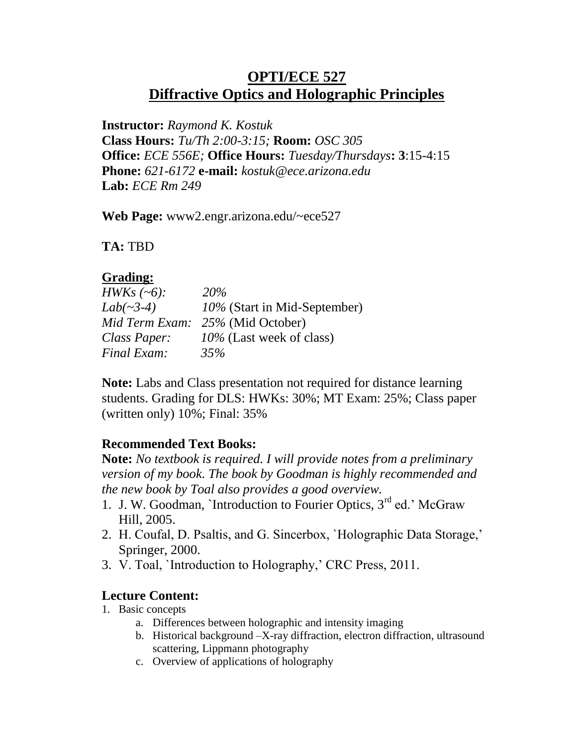# **OPTI/ECE 527 Diffractive Optics and Holographic Principles**

**Instructor:** *Raymond K. Kostuk* **Class Hours:** *Tu/Th 2:00-3:15;* **Room:** *OSC 305* **Office:** *ECE 556E;* **Office Hours:** *Tuesday/Thursdays***: 3**:15-4:15 **Phone:** *621-6172* **e-mail:** *kostuk@ece.arizona.edu* **Lab:** *ECE Rm 249*

**Web Page:** www2.engr.arizona.edu/~ece527

**TA:** TBD

## **Grading:**

| <i>HWKs</i> $(-6)$ : | <b>20%</b>                   |
|----------------------|------------------------------|
| $Lab(\sim3-4)$       | 10% (Start in Mid-September) |
| Mid Term Exam:       | 25% (Mid October)            |
| Class Paper:         | 10% (Last week of class)     |
| Final Exam:          | 35%                          |

**Note:** Labs and Class presentation not required for distance learning students. Grading for DLS: HWKs: 30%; MT Exam: 25%; Class paper (written only) 10%; Final: 35%

## **Recommended Text Books:**

**Note:** *No textbook is required. I will provide notes from a preliminary version of my book. The book by Goodman is highly recommended and the new book by Toal also provides a good overview.*

- 1. J. W. Goodman, `Introduction to Fourier Optics, 3<sup>rd</sup> ed.' McGraw Hill, 2005.
- 2. H. Coufal, D. Psaltis, and G. Sincerbox, `Holographic Data Storage,' Springer, 2000.
- 3. V. Toal, `Introduction to Holography,' CRC Press, 2011.

## **Lecture Content:**

- 1. Basic concepts
	- a. Differences between holographic and intensity imaging
	- b. Historical background –X-ray diffraction, electron diffraction, ultrasound scattering, Lippmann photography
	- c. Overview of applications of holography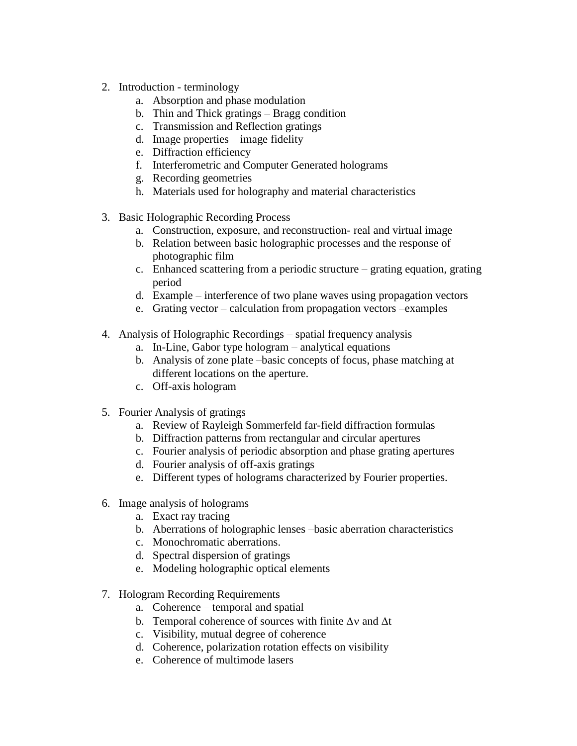- 2. Introduction terminology
	- a. Absorption and phase modulation
	- b. Thin and Thick gratings Bragg condition
	- c. Transmission and Reflection gratings
	- d. Image properties image fidelity
	- e. Diffraction efficiency
	- f. Interferometric and Computer Generated holograms
	- g. Recording geometries
	- h. Materials used for holography and material characteristics
- 3. Basic Holographic Recording Process
	- a. Construction, exposure, and reconstruction- real and virtual image
	- b. Relation between basic holographic processes and the response of photographic film
	- c. Enhanced scattering from a periodic structure grating equation, grating period
	- d. Example interference of two plane waves using propagation vectors
	- e. Grating vector calculation from propagation vectors –examples
- 4. Analysis of Holographic Recordings spatial frequency analysis
	- a. In-Line, Gabor type hologram analytical equations
	- b. Analysis of zone plate –basic concepts of focus, phase matching at different locations on the aperture.
	- c. Off-axis hologram
- 5. Fourier Analysis of gratings
	- a. Review of Rayleigh Sommerfeld far-field diffraction formulas
	- b. Diffraction patterns from rectangular and circular apertures
	- c. Fourier analysis of periodic absorption and phase grating apertures
	- d. Fourier analysis of off-axis gratings
	- e. Different types of holograms characterized by Fourier properties.
- 6. Image analysis of holograms
	- a. Exact ray tracing
	- b. Aberrations of holographic lenses –basic aberration characteristics
	- c. Monochromatic aberrations.
	- d. Spectral dispersion of gratings
	- e. Modeling holographic optical elements
- 7. Hologram Recording Requirements
	- a. Coherence temporal and spatial
	- b. Temporal coherence of sources with finite  $\Delta v$  and  $\Delta t$
	- c. Visibility, mutual degree of coherence
	- d. Coherence, polarization rotation effects on visibility
	- e. Coherence of multimode lasers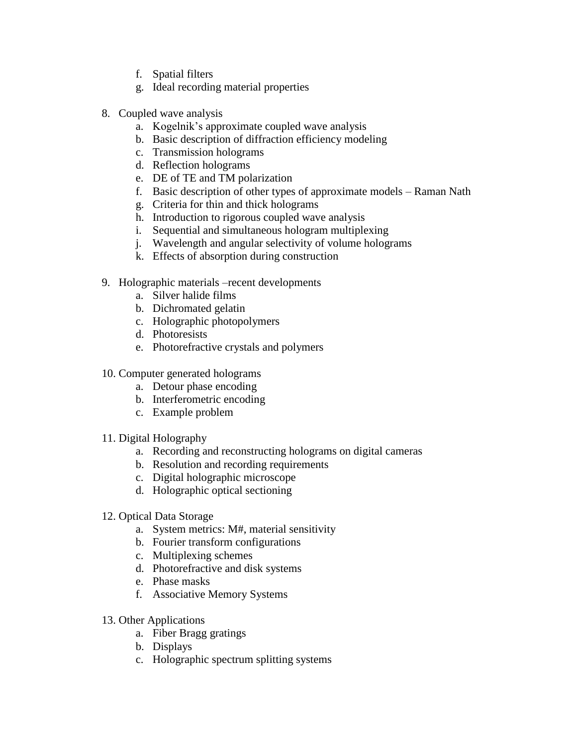- f. Spatial filters
- g. Ideal recording material properties
- 8. Coupled wave analysis
	- a. Kogelnik's approximate coupled wave analysis
	- b. Basic description of diffraction efficiency modeling
	- c. Transmission holograms
	- d. Reflection holograms
	- e. DE of TE and TM polarization
	- f. Basic description of other types of approximate models Raman Nath
	- g. Criteria for thin and thick holograms
	- h. Introduction to rigorous coupled wave analysis
	- i. Sequential and simultaneous hologram multiplexing
	- j. Wavelength and angular selectivity of volume holograms
	- k. Effects of absorption during construction
- 9. Holographic materials –recent developments
	- a. Silver halide films
	- b. Dichromated gelatin
	- c. Holographic photopolymers
	- d. Photoresists
	- e. Photorefractive crystals and polymers
- 10. Computer generated holograms
	- a. Detour phase encoding
	- b. Interferometric encoding
	- c. Example problem
- 11. Digital Holography
	- a. Recording and reconstructing holograms on digital cameras
	- b. Resolution and recording requirements
	- c. Digital holographic microscope
	- d. Holographic optical sectioning
- 12. Optical Data Storage
	- a. System metrics: M#, material sensitivity
	- b. Fourier transform configurations
	- c. Multiplexing schemes
	- d. Photorefractive and disk systems
	- e. Phase masks
	- f. Associative Memory Systems
- 13. Other Applications
	- a. Fiber Bragg gratings
	- b. Displays
	- c. Holographic spectrum splitting systems